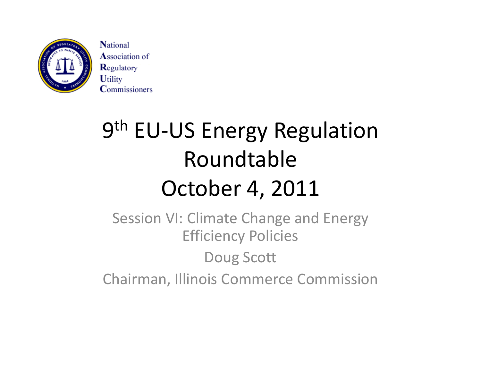

**National Association of** Regulatory **Utility Commissioners** 

# 9<sup>th</sup> EU-US Energy Regulation RoundtableOctober 4, 2011

Session VI: Climate Change and Energy Efficiency Policies Doug Scott Chairman, Illinois Commerce Commission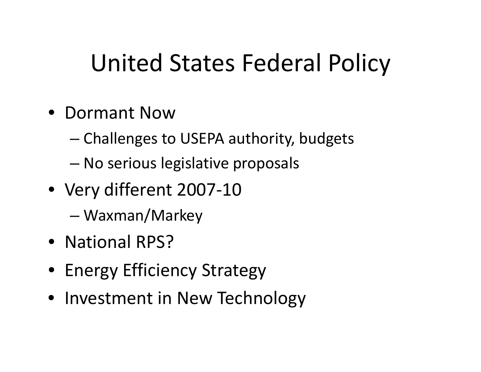# United States Federal Policy

- Dormant Now
	- –— Challenges to USEPA authority, budgets
	- –No serious legislative proposals
- Very different 2007‐10
	- –Waxman/Markey
- National RPS?
- Energy Efficiency Strategy
- Investment in New Technology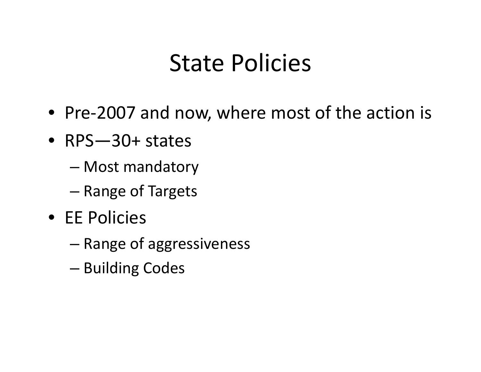#### State Policies

- Pre‐2007 and now, where most of the action is
- RPS—30+ states
	- Most mandatory
	- –Range of Targets
- EE Policies
	- Range of aggressiveness
	- –— Building Codes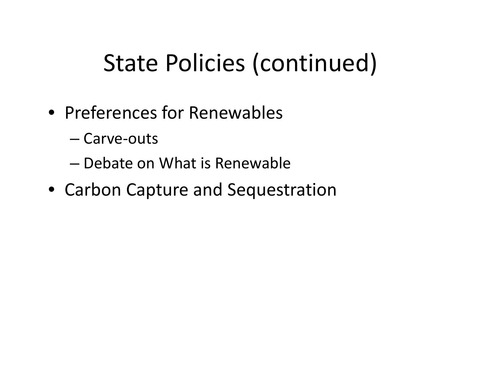# State Policies (continued)

- Preferences for Renewables
	- Carve‐outs
	- Debate on What is Renewable
- Carbon Capture and Sequestration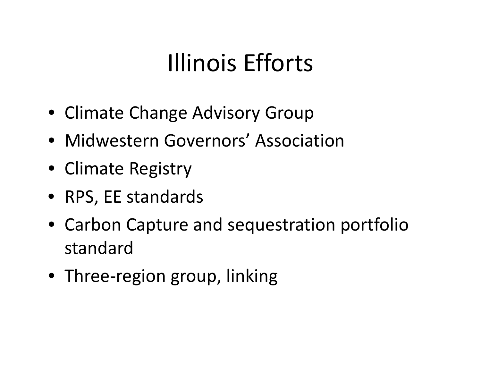# Illinois Efforts

- Climate Change Advisory Group
- Midwestern Governors' Association
- Climate Registry
- RPS, EE standards
- Carbon Capture and sequestration portfolio standard
- Three‐region group, linking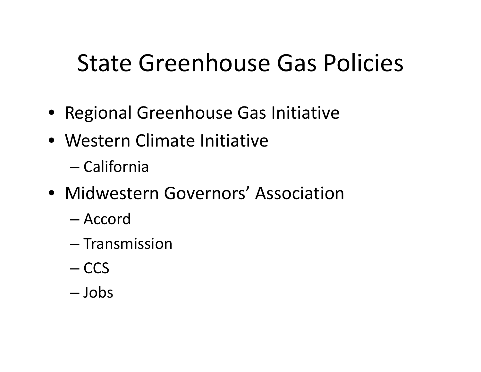### State Greenhouse Gas Policies

- Regional Greenhouse Gas Initiative
- Western Climate Initiative
	- California
- Midwestern Governors' Association
	- Accord
	- Transmission
	- CCS
	- Jobs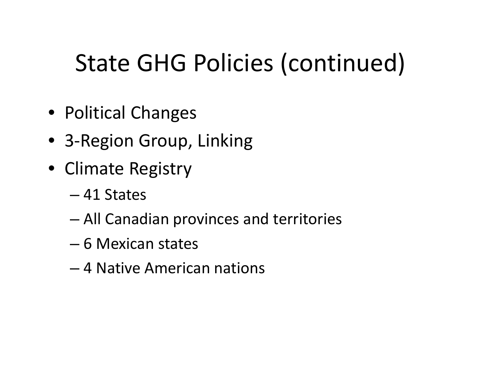# State GHG Policies (continued)

- Political Changes
- 3‐Region Group, Linking
- Climate Registry
	- 41 States
	- –All Canadian provinces and territories
	- 6 Mexican states
	- 4 Native American nations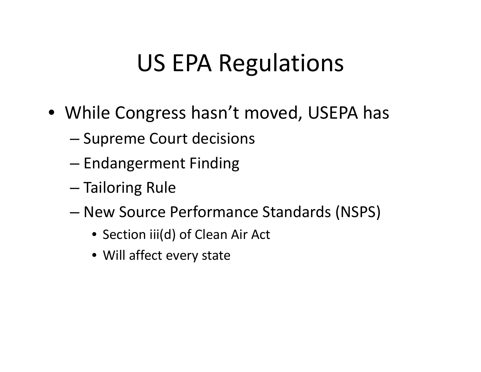### US EPA Regulations

- While Congress hasn't moved, USEPA has
	- –— Supreme Court decisions
	- – $-$  Endangerment Finding
	- Tailoring Rule
	- New Source Performance Standards (NSPS)
		- Section iii(d) of Clean Air Act
		- Will affect every state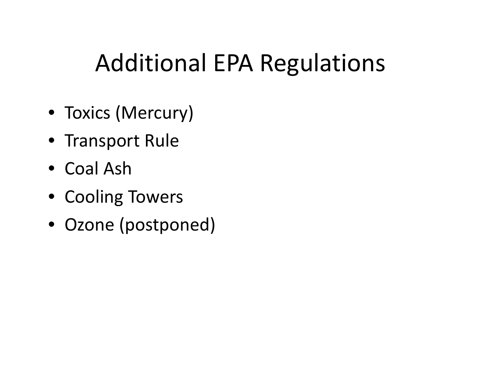### Additional EPA Regulations

- Toxics (Mercury)
- Transport Rule
- Coal Ash
- Cooling Towers
- Ozone (postponed)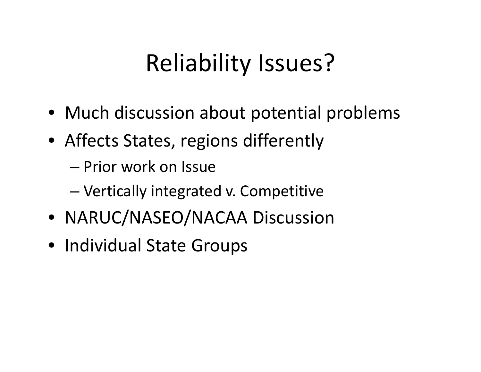### Reliability Issues?

- Much discussion about potential problems
- Affects States, regions differently
	- Prior work on Issue
	- –Vertically integrated v. Competitive
- NARUC/NASEO/NACAA Discussion
- Individual State Groups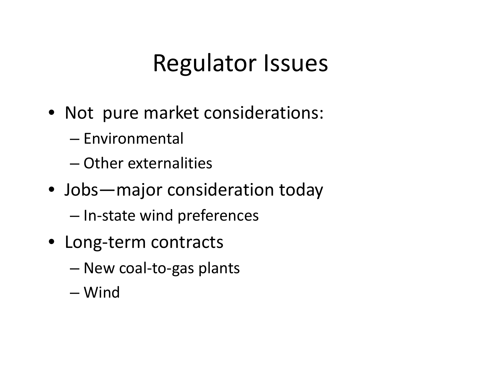#### Regulator Issues

- Not pure market considerations:
	- Environmental
	- Other externalities
- Jobs—major consideration today
	- –- In-state wind preferences
- Long‐term contracts
	- New coal‐to‐gas plants
	- Wind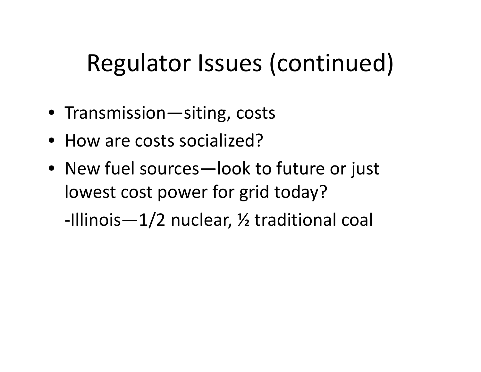## Regulator Issues (continued)

- Transmission—siting, costs
- How are costs socialized?
- $\bullet~$  New fuel sources—look to future or just lowest cost power for grid today? ‐Illinois—1/2 nuclear, ½ traditional coal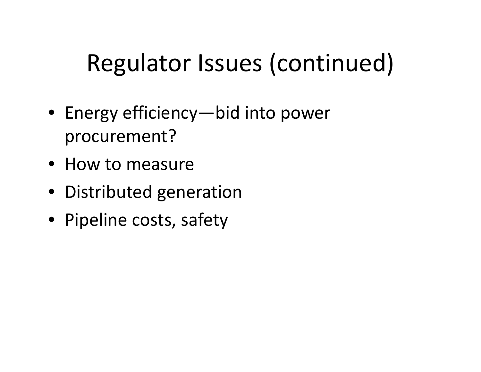# Regulator Issues (continued)

- $\bullet~$  Energy efficiency—bid into power procurement?
- How to measure
- Distributed generation
- Pipeline costs, safety